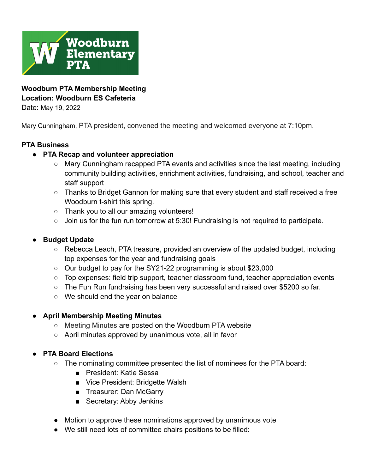

**Woodburn PTA Membership Meeting Location: Woodburn ES Cafeteria**

Date: May 19, 2022

Mary Cunningham, PTA president, convened the meeting and welcomed everyone at 7:10pm.

# **PTA Business**

#### **● PTA Recap and volunteer appreciation**

- Mary Cunningham recapped PTA events and activities since the last meeting, including community building activities, enrichment activities, fundraising, and school, teacher and staff support
- Thanks to Bridget Gannon for making sure that every student and staff received a free Woodburn t-shirt this spring.
- Thank you to all our amazing volunteers!
- Join us for the fun run tomorrow at 5:30! Fundraising is not required to participate.

# **● Budget Update**

- Rebecca Leach, PTA treasure, provided an overview of the updated budget, including top expenses for the year and fundraising goals
- Our budget to pay for the SY21-22 programming is about \$23,000
- Top expenses: field trip support, teacher classroom fund, teacher appreciation events
- The Fun Run fundraising has been very successful and raised over \$5200 so far.
- We should end the year on balance

# ● **April Membership Meeting Minutes**

- [Meeting Minutes](https://www.woodburnpta.com/wp-content/uploads/2022/02/21_11_18_Woodburn-PTA-Membership-Mtg-Minutes12244.pdf) are posted on the Woodburn PTA website
- April minutes approved by unanimous vote, all in favor

# **● PTA Board Elections**

- The nominating committee presented the list of nominees for the PTA board:
	- President: Katie Sessa
	- Vice President: Bridgette Walsh
	- Treasurer: Dan McGarry
	- Secretary: Abby Jenkins
- Motion to approve these nominations approved by unanimous vote
- We still need lots of committee chairs positions to be filled: